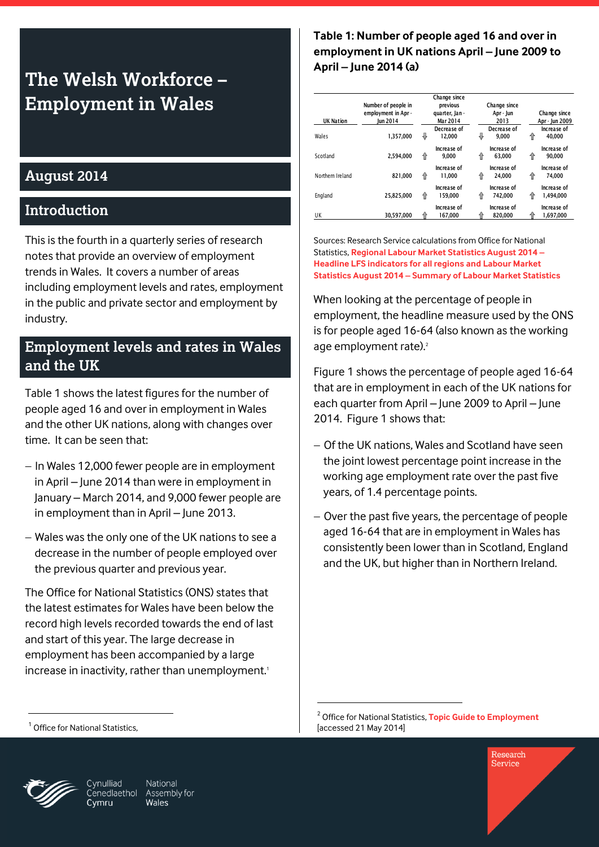# **The Welsh Workforce – Employment in Wales**

#### **August 2014**

#### **Introduction**

This is the fourth in a quarterly series of research notes that provide an overview of employment trends in Wales. It covers a number of areas including employment levels and rates, employment in the public and private sector and employment by industry.

#### **Employment levels and rates in Wales and the UK**

Table 1 shows the latest figures for the number of people aged 16 and over in employment in Wales and the other UK nations, along with changes over time. It can be seen that:

- In Wales 12,000 fewer people are in employment in April – June 2014 than were in employment in January – March 2014, and 9,000 fewer people are in employment than in April – June 2013.
- Wales was the only one of the UK nations to see a decrease in the number of people employed over the previous quarter and previous year.

The Office for National Statistics (ONS) states that the latest estimates for Wales have been below the record high levels recorded towards the end of last and start of this year. The large decrease in employment has been accompanied by a large increase in inactivity, rather than unemployment.<sup>1</sup>

**Table 1: Number of people aged 16 and over in employment in UK nations April – June 2009 to April – June 2014 (a)**

| <b>UK Nation</b> | Number of people in<br>employment in Apr -<br><b>lun 2014</b> |   | Change since<br>previous<br>quarter, Jan -<br>Mar 2014 |   | Change since<br>Apr - Jun<br>2013 |   | Change since<br>Apr - Jun 2009 |
|------------------|---------------------------------------------------------------|---|--------------------------------------------------------|---|-----------------------------------|---|--------------------------------|
| Wales            | 1,357,000                                                     | ⇩ | Decrease of<br>12.000                                  | ⇩ | Decrease of<br>9.000              | ⇑ | Increase of<br>40.000          |
| Scotland         | 2.594.000                                                     | 仐 | Increase of<br>9.000                                   | 仆 | Increase of<br>63.000             | ⇑ | Increase of<br>90.000          |
| Northern Ireland | 821,000                                                       | ⇑ | Increase of<br>11.000                                  | ⇑ | Increase of<br>24.000             | ⇑ | Increase of<br>74.000          |
| England          | 25,825,000                                                    | ⇑ | Increase of<br>159.000                                 | 仆 | Increase of<br>742.000            | ⇑ | Increase of<br>1.494.000       |
| UK               | 30.597.000                                                    |   | Increase of<br>167.000                                 |   | Increase of<br>820.000            |   | Increase of<br>1,697,000       |

Sources: Research Service calculations from Office for National Statistics, **[Regional Labour Market Statistics August 2014](http://www.ons.gov.uk/ons/rel/lms/labour-market-statistics/august-2014/table-a01.xls) – [Headline LFS indicators for all regions](http://www.ons.gov.uk/ons/rel/lms/labour-market-statistics/august-2014/table-a01.xls) and Labour Market Statistics August 2014 – [Summary of Labour Market Statistics](http://www.ons.gov.uk/ons/rel/lms/labour-market-statistics/august-2014/table-a01.xls)**

When looking at the percentage of people in employment, the headline measure used by the ONS is for people aged 16-64 (also known as the working age employment rate).<sup>2</sup>

Figure 1 shows the percentage of people aged 16-64 that are in employment in each of the UK nations for each quarter from April – June 2009 to April – June 2014. Figure 1 shows that:

- Of the UK nations, Wales and Scotland have seen the joint lowest percentage point increase in the working age employment rate over the past five years, of 1.4 percentage points.
- Over the past five years, the percentage of people aged 16-64 that are in employment in Wales has consistently been lower than in Scotland, England and the UK, but higher than in Northern Ireland.

Cvmru

.



-

National Cynulliad Cenedlaethol Assembly for Wales

<sup>&</sup>lt;sup>1</sup> Office for National Statistics,

<sup>2</sup> Office for National Statistics, **[Topic Guide to Employment](http://www.statistics.gov.uk/hub/labour-market/people-in-work/employment/index.html)** [accessed 21 May 2014]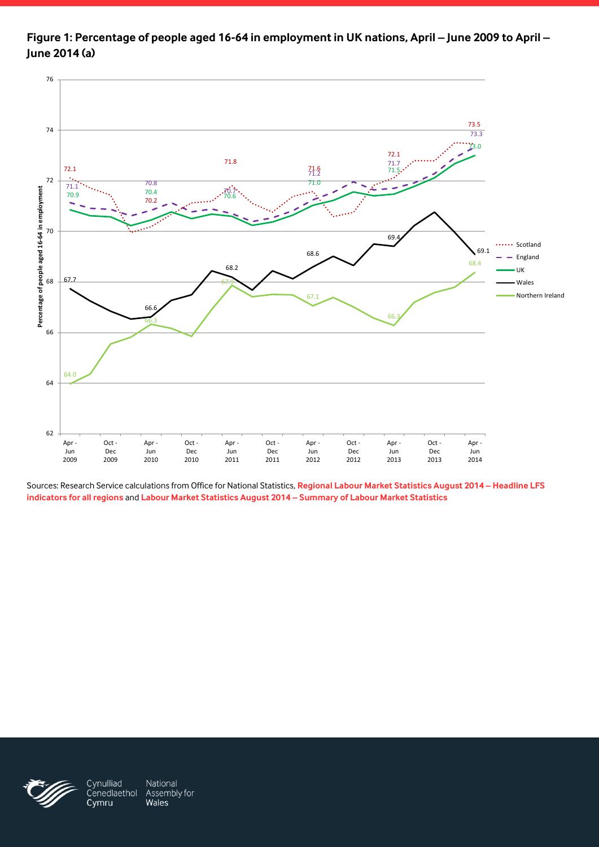

**Figure 1: Percentage of people aged 16-64 in employment in UK nations, April – June 2009 to April – June 2014 (a)**

Sources: Research Service calculations from Office for National Statistics, **[Regional Labour Market Statistics August 2014](http://www.ons.gov.uk/ons/rel/subnational-labour/regional-labour-market-statistics/august-2014/rft-lm-hi00-august-2014.xls) – Headline LFS [indicators for all regions](http://www.ons.gov.uk/ons/rel/subnational-labour/regional-labour-market-statistics/august-2014/rft-lm-hi00-august-2014.xls)** and **[Labour Market Statistics August 2014](http://www.ons.gov.uk/ons/rel/lms/labour-market-statistics/august-2014/table-a01.xls) – Summary of Labour Market Statistics**



Cynulliad National Cenedlaethol Assembly for Cymru Wales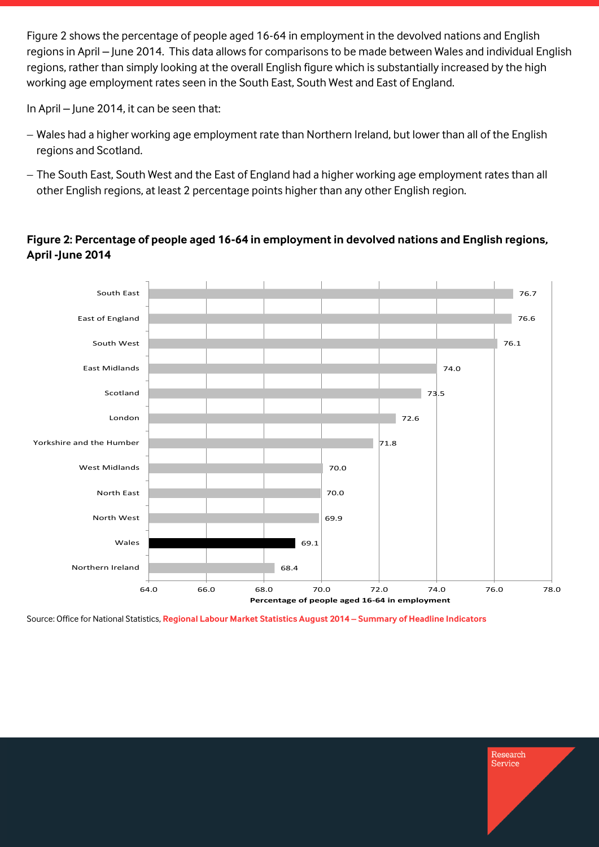Figure 2 shows the percentage of people aged 16-64 in employment in the devolved nations and English regions in April – June 2014. This data allows for comparisons to be made between Wales and individual English regions, rather than simply looking at the overall English figure which is substantially increased by the high working age employment rates seen in the South East, South West and East of England.

In April – June 2014, it can be seen that:

- Wales had a higher working age employment rate than Northern Ireland, but lower than all of the English regions and Scotland.
- $-$  The South East, South West and the East of England had a higher working age employment rates than all other English regions, at least 2 percentage points higher than any other English region.

#### 68.4 69.1 69.9 70.0 70.0 71.8 72.6 73.5 74.0 76.1 76.6 76.7 64.0 66.0 68.0 70.0 72.0 74.0 76.0 78.0 Northern Ireland Wales North West North East West Midlands Yorkshire and the Humber London Scotland East Midlands South West East of England South East **Percentage of people aged 16-64 in employment**

#### **Figure 2: Percentage of people aged 16-64 in employment in devolved nations and English regions, April -June 2014**

Source: Office for National Statistics, **[Regional Labour Market Statistics August 2014](http://www.ons.gov.uk/ons/rel/subnational-labour/regional-labour-market-statistics/august-2014/rft-lm-regional-summary-august-2014.xls) – Summary of Headline Indicators**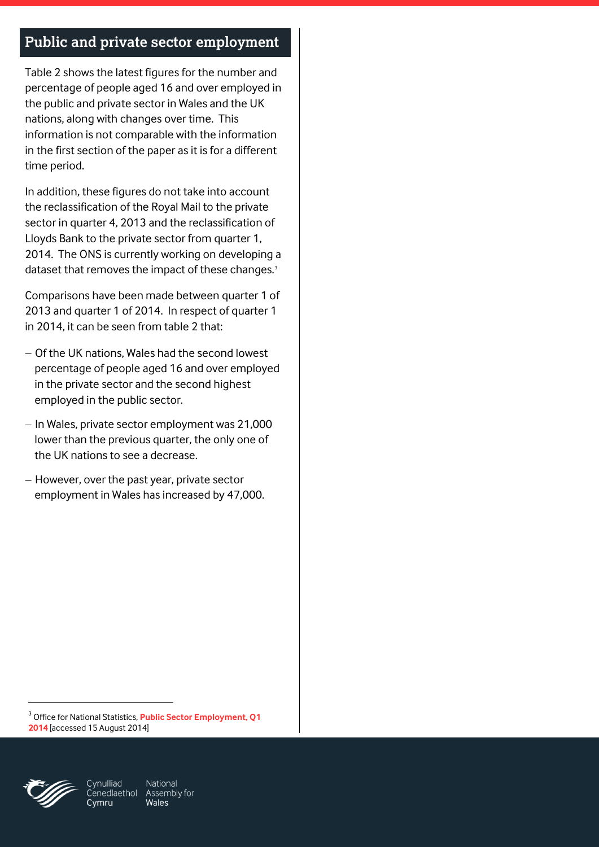### **Public and private sector employment**

Table 2 shows the latest figures for the number and percentage of people aged 16 and over employed in the public and private sector in Wales and the UK nations, along with changes over time. This information is not comparable with the information in the first section of the paper as it is for a different time period.

In addition, these figures do not take into account the reclassification of the Royal Mail to the private sector in quarter 4, 2013 and the reclassification of Lloyds Bank to the private sector from quarter 1, 2014. The ONS is currently working on developing a dataset that removes the impact of these changes.<sup>3</sup>

Comparisons have been made between quarter 1 of 2013 and quarter 1 of 2014. In respect of quarter 1 in 2014, it can be seen from table 2 that:

- Of the UK nations, Wales had the second lowest percentage of people aged 16 and over employed in the private sector and the second highest employed in the public sector.
- In Wales, private sector employment was 21,000 lower than the previous quarter, the only one of the UK nations to see a decrease.
- $-$  However, over the past year, private sector employment in Wales has increased by 47,000.

3 Office for National Statistics, **[Public Sector Employment, Q1](http://www.ons.gov.uk/ons/rel/pse/public-sector-employment/q1-2014/stb-pse-2014-q1.html#tab-Public-and-Private-Sector-Employment)  [2014](http://www.ons.gov.uk/ons/rel/pse/public-sector-employment/q1-2014/stb-pse-2014-q1.html#tab-Public-and-Private-Sector-Employment)** [accessed 15 August 2014]



-

Cvmru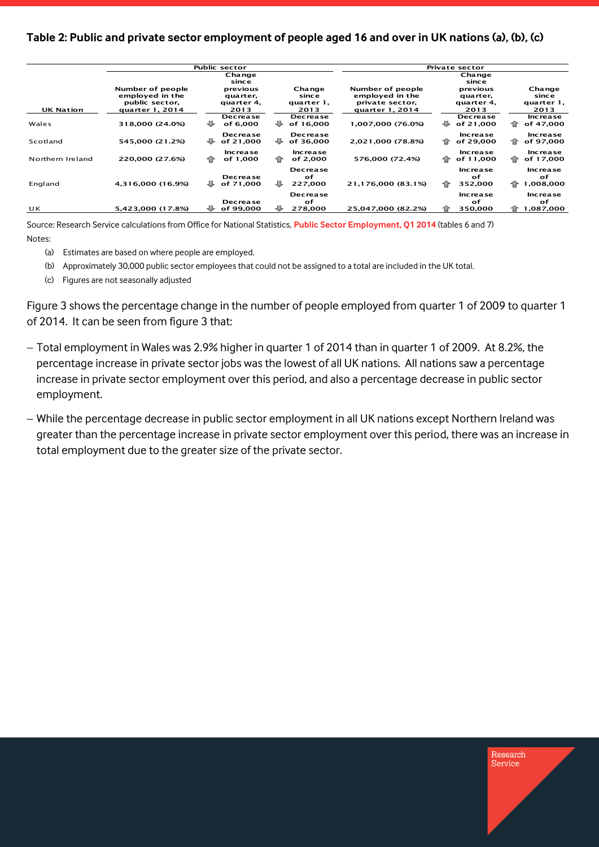#### **Table 2: Public and private sector employment of people aged 16 and over in UK nations (a), (b), (c)**

|                  |                                                                          | <b>Public sector</b>                       |                                       | Private sector                                                            |                                            |                                         |  |  |
|------------------|--------------------------------------------------------------------------|--------------------------------------------|---------------------------------------|---------------------------------------------------------------------------|--------------------------------------------|-----------------------------------------|--|--|
|                  |                                                                          | Change<br>since                            |                                       |                                                                           | Change<br>since                            |                                         |  |  |
| <b>UK Nation</b> | Number of people<br>employed in the<br>public sector,<br>quarter 1, 2014 | previous<br>quarter,<br>quarter 4,<br>2013 | Change<br>since<br>quarter 1,<br>2013 | Number of people<br>employed in the<br>private sector,<br>quarter 1, 2014 | previous<br>quarter,<br>quarter 4.<br>2013 | Change<br>since<br>quarter 1,<br>2013   |  |  |
| Wales            | 318,000 (24.0%)                                                          | Decrease<br>₩<br>of 6,000                  | <b>Decrease</b><br>₩<br>of 16.000     | 1,007,000 (76.0%)                                                         | Decrease<br>₩<br>of 21,000                 | Increase<br>⇑<br>of 47,000              |  |  |
| Scotland         | 545,000 (21.2%)                                                          | <b>Decrease</b><br>₩<br>of 21,000          | <b>Decrease</b><br>₩<br>of 36,000     | 2,021,000 (78.8%)                                                         | Increase<br>企<br>of 29,000                 | Increase<br>of 97,000<br>⇑              |  |  |
| Northern Ireland | 220,000 (27.6%)                                                          | <b>Increase</b><br>⇑<br>of 1,000           | <b>Increase</b><br>企<br>of 2,000      | 576,000 (72.4%)                                                           | Increase<br>企<br>of 11,000                 | Increase<br>of 17,000<br>企              |  |  |
| England          | 4,316,000 (16.9%)                                                        | <b>Decrease</b><br>₩<br>of 71,000          | <b>Decrease</b><br>оf<br>⊕<br>227,000 | 21,176,000 (83.1%)                                                        | <b>Increase</b><br>of<br>⇑<br>352,000      | <b>Increase</b><br>of<br>1,008,000<br>⇑ |  |  |
|                  |                                                                          | <b>Decrease</b>                            | <b>Decrease</b><br>of                 |                                                                           | <b>Increase</b><br>of                      | <b>Increase</b><br>оf                   |  |  |
| UK               | 5,423,000 (17.8%)                                                        | of 99,000                                  | JL<br>278,000                         | 25,047,000 (82.2%)                                                        | 350,000                                    | 1,087,000<br>ብት                         |  |  |

Source: Research Service calculations from Office for National Statistics, **[Public Sector Employment, Q1 2014](http://www.ons.gov.uk/ons/rel/pse/public-sector-employment/q1-2014/rft-pse-2014-q1.xls)** (tables 6 and 7) Notes:

- (a) Estimates are based on where people are employed.
- (b) Approximately 30,000 public sector employees that could not be assigned to a total are included in the UK total.
- (c) Figures are not seasonally adjusted

Figure 3 shows the percentage change in the number of people employed from quarter 1 of 2009 to quarter 1 of 2014. It can be seen from figure 3 that:

- Total employment in Wales was 2.9% higher in quarter 1 of 2014 than in quarter 1 of 2009. At 8.2%, the percentage increase in private sector jobs was the lowest of all UK nations. All nations saw a percentage increase in private sector employment over this period, and also a percentage decrease in public sector employment.
- While the percentage decrease in public sector employment in all UK nations except Northern Ireland was greater than the percentage increase in private sector employment over this period, there was an increase in total employment due to the greater size of the private sector.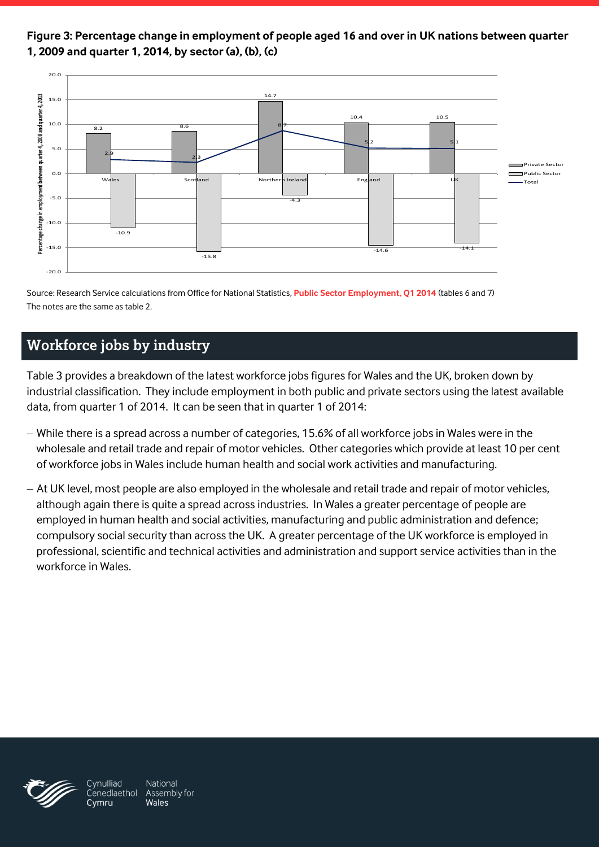**Figure 3: Percentage change in employment of people aged 16 and over in UK nations between quarter 1, 2009 and quarter 1, 2014, by sector (a), (b), (c)**



Source: Research Service calculations from Office for National Statistics, **[Public Sector Employment, Q1 2014](http://www.ons.gov.uk/ons/rel/pse/public-sector-employment/q1-2014/rft-pse-2014-q1.xls)** (tables 6 and 7) The notes are the same as table 2.

### **Workforce jobs by industry**

Table 3 provides a breakdown of the latest workforce jobs figures for Wales and the UK, broken down by industrial classification. They include employment in both public and private sectors using the latest available data, from quarter 1 of 2014. It can be seen that in quarter 1 of 2014:

- While there is a spread across a number of categories, 15.6% of all workforce jobs in Wales were in the wholesale and retail trade and repair of motor vehicles. Other categories which provide at least 10 per cent of workforce jobs in Wales include human health and social work activities and manufacturing.
- At UK level, most people are also employed in the wholesale and retail trade and repair of motor vehicles, although again there is quite a spread across industries. In Wales a greater percentage of people are employed in human health and social activities, manufacturing and public administration and defence; compulsory social security than across the UK. A greater percentage of the UK workforce is employed in professional, scientific and technical activities and administration and support service activities than in the workforce in Wales.



National Cynulliad Cenedlaethol Assembly for Wales

Cymru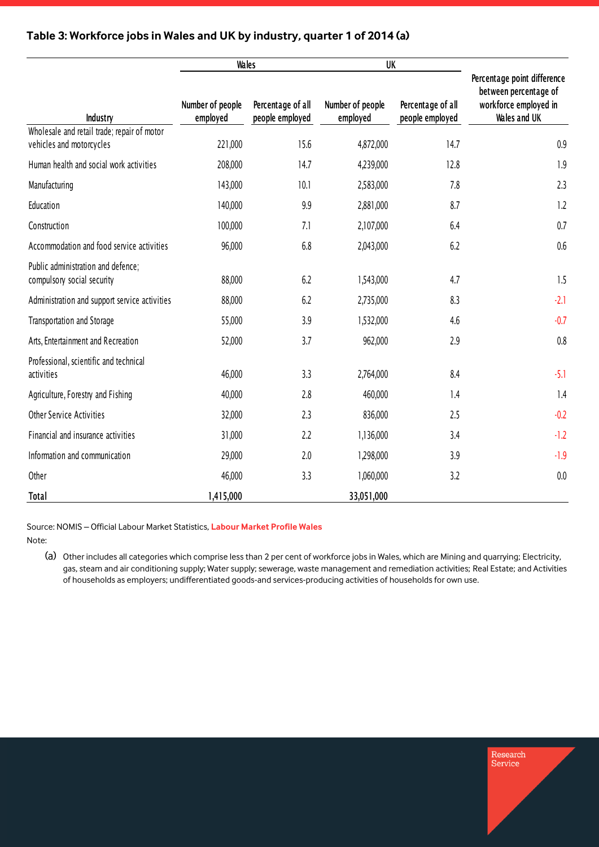|                                                                         | <b>Wales</b>                 |                                      | UK                           |                                      |                                                                                               |  |
|-------------------------------------------------------------------------|------------------------------|--------------------------------------|------------------------------|--------------------------------------|-----------------------------------------------------------------------------------------------|--|
| Industry                                                                | Number of people<br>employed | Percentage of all<br>people employed | Number of people<br>employed | Percentage of all<br>people employed | Percentage point difference<br>between percentage of<br>workforce employed in<br>Wales and UK |  |
| Wholesale and retail trade; repair of motor<br>vehicles and motorcycles | 221,000                      | 15.6                                 | 4,872,000                    | 14.7                                 | 0.9                                                                                           |  |
| Human health and social work activities                                 | 208,000                      | 14.7                                 | 4,239,000                    | 12.8                                 | 1.9                                                                                           |  |
| Manufacturing                                                           | 143,000                      | 10.1                                 | 2,583,000                    | 7.8                                  | 2.3                                                                                           |  |
| Education                                                               | 140,000                      | 9.9                                  | 2,881,000                    | 8.7                                  | 1.2                                                                                           |  |
| Construction                                                            | 100,000                      | 7.1                                  | 2,107,000                    | 6.4                                  | 0.7                                                                                           |  |
| Accommodation and food service activities                               | 96,000                       | 6.8                                  | 2,043,000                    | 6.2                                  | 0.6                                                                                           |  |
| Public administration and defence;<br>compulsory social security        | 88,000                       | 6.2                                  | 1,543,000                    | 4.7                                  | 1.5                                                                                           |  |
| Administration and support service activities                           | 88,000                       | 6.2                                  | 2,735,000                    | 8.3                                  | $-2.1$                                                                                        |  |
| Transportation and Storage                                              | 55,000                       | 3.9                                  | 1,532,000                    | 4.6                                  | $-0.7$                                                                                        |  |
| Arts, Entertainment and Recreation                                      | 52,000                       | 3.7                                  | 962,000                      | 2.9                                  | 0.8                                                                                           |  |
| Professional, scientific and technical<br>activities                    | 46,000                       | 3.3                                  | 2,764,000                    | 8.4                                  | $-5.1$                                                                                        |  |
| Agriculture, Forestry and Fishing                                       | 40,000                       | 2.8                                  | 460,000                      | 1.4                                  | 1.4                                                                                           |  |
| <b>Other Service Activities</b>                                         | 32,000                       | 2.3                                  | 836,000                      | 2.5                                  | $-0.2$                                                                                        |  |
| Financial and insurance activities                                      | 31,000                       | 2.2                                  | 1,136,000                    | 3.4                                  | $-1.2$                                                                                        |  |
| Information and communication                                           | 29,000                       | 2.0                                  | 1,298,000                    | 3.9                                  | $-1.9$                                                                                        |  |
| Other                                                                   | 46,000                       | 3.3                                  | 1,060,000                    | 3.2                                  | 0.0                                                                                           |  |
| <b>Total</b>                                                            | 1,415,000                    |                                      | 33,051,000                   |                                      |                                                                                               |  |

#### **Table 3: Workforce jobs in Wales and UK by industry, quarter 1 of 2014 (a)**

Source: NOMIS – Official Labour Market Statistics, **[Labour Market Profile Wales](http://www.nomisweb.co.uk/reports/lmp/gor/2013265930/report.aspx)**

Note:

(a) Other includes all categories which comprise less than 2 per cent of workforce jobs in Wales, which are Mining and quarrying; Electricity, gas, steam and air conditioning supply; Water supply; sewerage, waste management and remediation activities; Real Estate; and Activities of households as employers; undifferentiated goods-and services-producing activities of households for own use.

Research<br>Service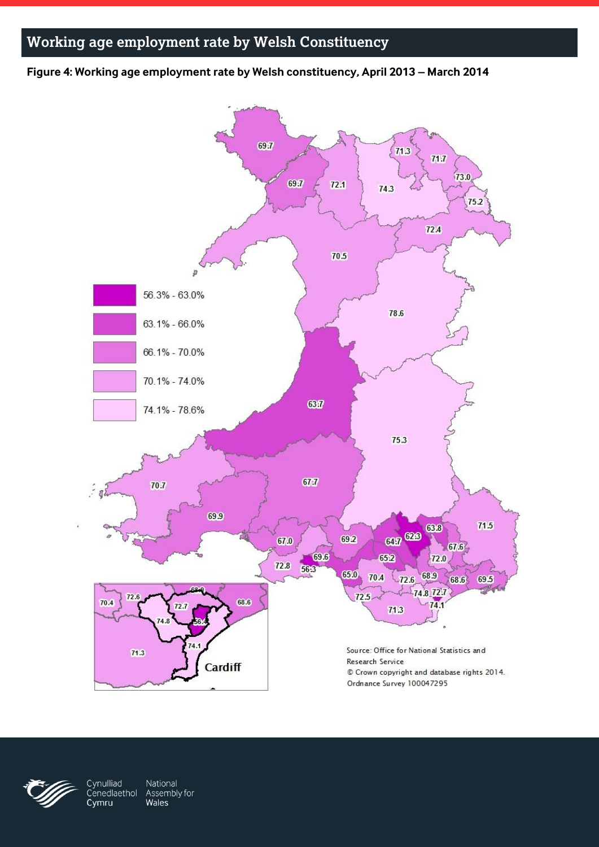## **Working age employment rate by Welsh Constituency**

**Figure 4: Working age employment rate by Welsh constituency, April 2013 – March 2014**





National Cynulliad Cenedlaethol Assembly for Wales Cymru